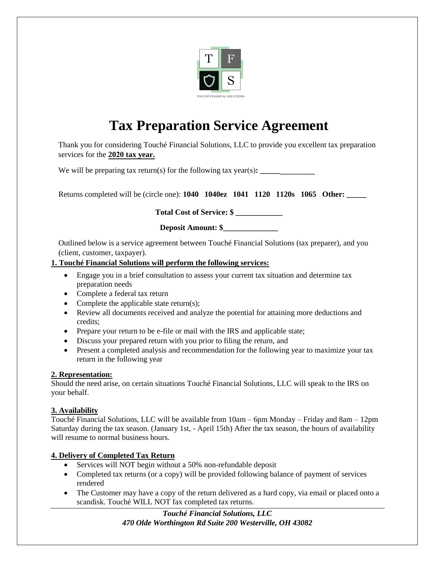

# **Tax Preparation Service Agreement**

Thank you for considering Touché Financial Solutions, LLC to provide you excellent tax preparation services for the **2020 tax year.**

We will be preparing tax return(s) for the following tax year(s): \_\_\_\_\_\_

Returns completed will be (circle one): **1040 1040ez 1041 1120 1120s 1065 Other: \_\_\_\_\_** 

**Total Cost of Service: \$ \_\_\_\_\_\_\_\_\_\_\_\_** 

| <b>Deposit Amount: \$</b> |  |
|---------------------------|--|
|---------------------------|--|

Outlined below is a service agreement between Touché Financial Solutions (tax preparer), and you (client, customer, taxpayer).

# **1. Touché Financial Solutions will perform the following services:**

- Engage you in a brief consultation to assess your current tax situation and determine tax preparation needs
- Complete a federal tax return
- Complete the applicable state return(s);
- Review all documents received and analyze the potential for attaining more deductions and credits;
- Prepare your return to be e-file or mail with the IRS and applicable state;
- Discuss your prepared return with you prior to filing the return, and
- Present a completed analysis and recommendation for the following year to maximize your tax return in the following year

### **2. Representation:**

Should the need arise, on certain situations Touché Financial Solutions, LLC will speak to the IRS on your behalf.

# **3. Availability**

Touché Financial Solutions, LLC will be available from 10am – 6pm Monday – Friday and 8am – 12pm Saturday during the tax season. (January 1st, - April 15th) After the tax season, the hours of availability will resume to normal business hours.

# **4. Delivery of Completed Tax Return**

- Services will NOT begin without a 50% non-refundable deposit
- Completed tax returns (or a copy) will be provided following balance of payment of services rendered
- The Customer may have a copy of the return delivered as a hard copy, via email or placed onto a scandisk. Touché WILL NOT fax completed tax returns.

*Touché Financial Solutions, LLC 470 Olde Worthington Rd Suite 200 Westerville, OH 43082*